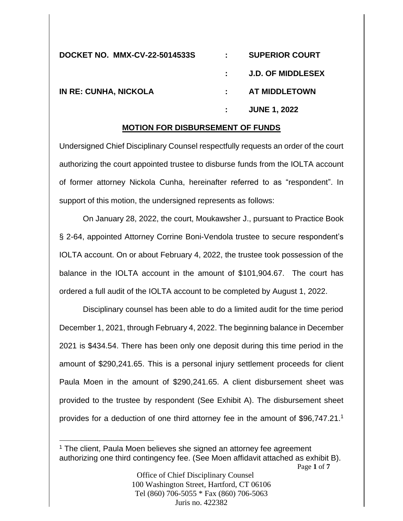| <b>DOCKET NO. MMX-CV-22-5014533S</b> | : SUPERIOR COURT    |
|--------------------------------------|---------------------|
|                                      | : J.D. OF MIDDLESEX |
| <b>IN RE: CUNHA, NICKOLA</b>         | : AT MIDDLETOWN     |
|                                      | <b>JUNE 1, 2022</b> |

#### **MOTION FOR DISBURSEMENT OF FUNDS**

Undersigned Chief Disciplinary Counsel respectfully requests an order of the court authorizing the court appointed trustee to disburse funds from the IOLTA account of former attorney Nickola Cunha, hereinafter referred to as "respondent". In support of this motion, the undersigned represents as follows:

On January 28, 2022, the court, Moukawsher J., pursuant to Practice Book § 2-64, appointed Attorney Corrine Boni-Vendola trustee to secure respondent's IOLTA account. On or about February 4, 2022, the trustee took possession of the balance in the IOLTA account in the amount of \$101,904.67. The court has ordered a full audit of the IOLTA account to be completed by August 1, 2022.

Disciplinary counsel has been able to do a limited audit for the time period December 1, 2021, through February 4, 2022. The beginning balance in December 2021 is \$434.54. There has been only one deposit during this time period in the amount of \$290,241.65. This is a personal injury settlement proceeds for client Paula Moen in the amount of \$290,241.65. A client disbursement sheet was provided to the trustee by respondent (See Exhibit A). The disbursement sheet provides for a deduction of one third attorney fee in the amount of \$96,747.21.<sup>1</sup>

<sup>&</sup>lt;sup>1</sup> The client, Paula Moen believes she signed an attorney fee agreement authorizing one third contingency fee. (See Moen affidavit attached as exhibit B).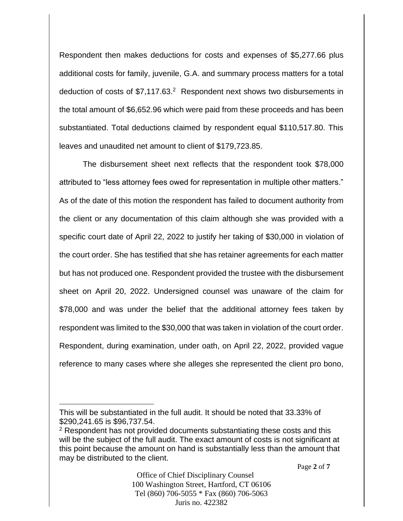Respondent then makes deductions for costs and expenses of \$5,277.66 plus additional costs for family, juvenile, G.A. and summary process matters for a total deduction of costs of \$7,117.63.<sup>2</sup> Respondent next shows two disbursements in the total amount of \$6,652.96 which were paid from these proceeds and has been substantiated. Total deductions claimed by respondent equal \$110,517.80. This leaves and unaudited net amount to client of \$179,723.85.

The disbursement sheet next reflects that the respondent took \$78,000 attributed to "less attorney fees owed for representation in multiple other matters." As of the date of this motion the respondent has failed to document authority from the client or any documentation of this claim although she was provided with a specific court date of April 22, 2022 to justify her taking of \$30,000 in violation of the court order. She has testified that she has retainer agreements for each matter but has not produced one. Respondent provided the trustee with the disbursement sheet on April 20, 2022. Undersigned counsel was unaware of the claim for \$78,000 and was under the belief that the additional attorney fees taken by respondent was limited to the \$30,000 that was taken in violation of the court order. Respondent, during examination, under oath, on April 22, 2022, provided vague reference to many cases where she alleges she represented the client pro bono,

This will be substantiated in the full audit. It should be noted that 33.33% of \$290,241.65 is \$96,737.54.

<sup>&</sup>lt;sup>2</sup> Respondent has not provided documents substantiating these costs and this will be the subject of the full audit. The exact amount of costs is not significant at this point because the amount on hand is substantially less than the amount that may be distributed to the client.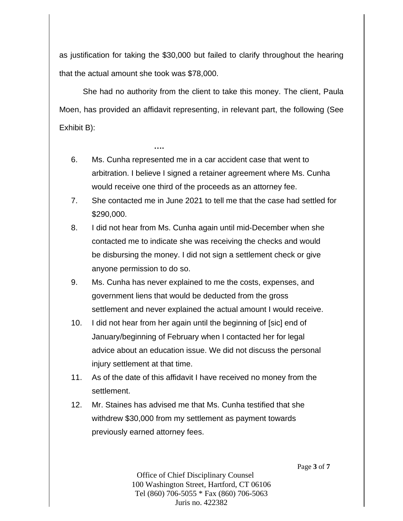as justification for taking the \$30,000 but failed to clarify throughout the hearing that the actual amount she took was \$78,000.

She had no authority from the client to take this money. The client, Paula Moen, has provided an affidavit representing, in relevant part, the following (See Exhibit B):

6. Ms. Cunha represented me in a car accident case that went to arbitration. I believe I signed a retainer agreement where Ms. Cunha would receive one third of the proceeds as an attorney fee.

**….**

- 7. She contacted me in June 2021 to tell me that the case had settled for \$290,000.
- 8. I did not hear from Ms. Cunha again until mid-December when she contacted me to indicate she was receiving the checks and would be disbursing the money. I did not sign a settlement check or give anyone permission to do so.
- 9. Ms. Cunha has never explained to me the costs, expenses, and government liens that would be deducted from the gross settlement and never explained the actual amount I would receive.
- 10. I did not hear from her again until the beginning of [sic] end of January/beginning of February when I contacted her for legal advice about an education issue. We did not discuss the personal injury settlement at that time.
- 11. As of the date of this affidavit I have received no money from the settlement.
- 12. Mr. Staines has advised me that Ms. Cunha testified that she withdrew \$30,000 from my settlement as payment towards previously earned attorney fees.

Page **3** of **7**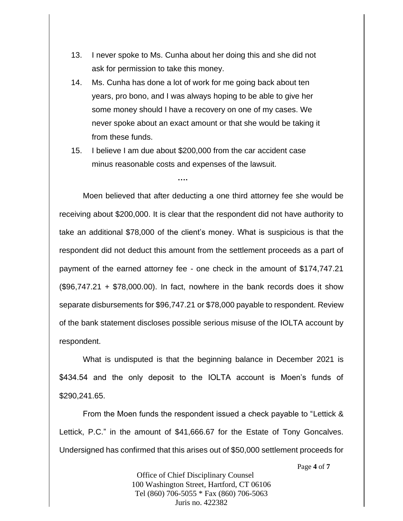- 13. I never spoke to Ms. Cunha about her doing this and she did not ask for permission to take this money.
- 14. Ms. Cunha has done a lot of work for me going back about ten years, pro bono, and I was always hoping to be able to give her some money should I have a recovery on one of my cases. We never spoke about an exact amount or that she would be taking it from these funds.
- 15. I believe I am due about \$200,000 from the car accident case minus reasonable costs and expenses of the lawsuit.

**….**

Moen believed that after deducting a one third attorney fee she would be receiving about \$200,000. It is clear that the respondent did not have authority to take an additional \$78,000 of the client's money. What is suspicious is that the respondent did not deduct this amount from the settlement proceeds as a part of payment of the earned attorney fee - one check in the amount of \$174,747.21 (\$96,747.21 + \$78,000.00). In fact, nowhere in the bank records does it show separate disbursements for \$96,747.21 or \$78,000 payable to respondent. Review of the bank statement discloses possible serious misuse of the IOLTA account by respondent.

What is undisputed is that the beginning balance in December 2021 is \$434.54 and the only deposit to the IOLTA account is Moen's funds of \$290,241.65.

From the Moen funds the respondent issued a check payable to "Lettick & Lettick, P.C." in the amount of \$41,666.67 for the Estate of Tony Goncalves. Undersigned has confirmed that this arises out of \$50,000 settlement proceeds for

Page **4** of **7**

Office of Chief Disciplinary Counsel 100 Washington Street, Hartford, CT 06106 Tel (860) 706-5055 \* Fax (860) 706-5063 Juris no. 422382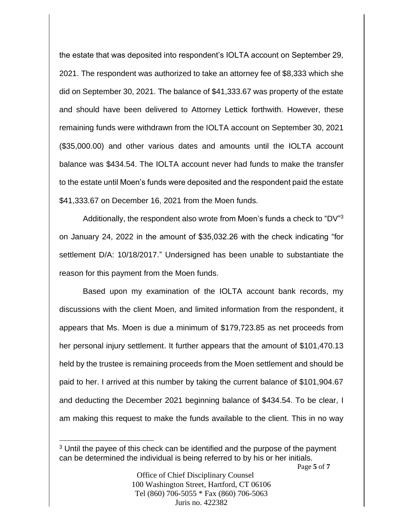the estate that was deposited into respondent's IOLTA account on September 29, 2021. The respondent was authorized to take an attorney fee of \$8,333 which she did on September 30, 2021. The balance of \$41,333.67 was property of the estate and should have been delivered to Attorney Lettick forthwith. However, these remaining funds were withdrawn from the IOLTA account on September 30, 2021 (\$35,000.00) and other various dates and amounts until the IOLTA account balance was \$434.54. The IOLTA account never had funds to make the transfer to the estate until Moen's funds were deposited and the respondent paid the estate \$41,333.67 on December 16, 2021 from the Moen funds.

Additionally, the respondent also wrote from Moen's funds a check to "DV"<sup>3</sup> on January 24, 2022 in the amount of \$35,032.26 with the check indicating "for settlement D/A: 10/18/2017." Undersigned has been unable to substantiate the reason for this payment from the Moen funds.

Based upon my examination of the IOLTA account bank records, my discussions with the client Moen, and limited information from the respondent, it appears that Ms. Moen is due a minimum of \$179,723.85 as net proceeds from her personal injury settlement. It further appears that the amount of \$101,470.13 held by the trustee is remaining proceeds from the Moen settlement and should be paid to her. I arrived at this number by taking the current balance of \$101,904.67 and deducting the December 2021 beginning balance of \$434.54. To be clear, I am making this request to make the funds available to the client. This in no way

<sup>&</sup>lt;sup>3</sup> Until the payee of this check can be identified and the purpose of the payment can be determined the individual is being referred to by his or her initials.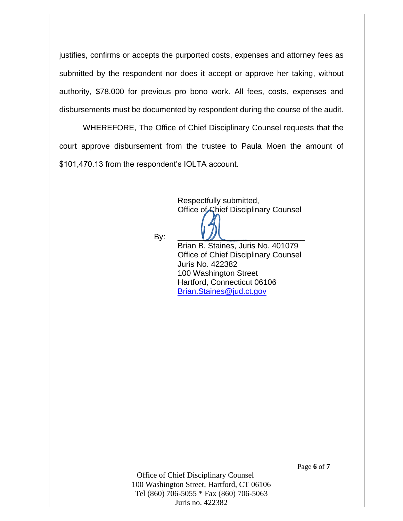justifies, confirms or accepts the purported costs, expenses and attorney fees as submitted by the respondent nor does it accept or approve her taking, without authority, \$78,000 for previous pro bono work. All fees, costs, expenses and disbursements must be documented by respondent during the course of the audit.

WHEREFORE, The Office of Chief Disciplinary Counsel requests that the court approve disbursement from the trustee to Paula Moen the amount of \$101,470.13 from the respondent's IOLTA account.

> Respectfully submitted, Office of Chief Disciplinary Counsel

By: \_\_\_\_\_\_\_\_\_\_\_\_\_\_\_\_\_\_\_\_\_\_\_\_\_\_\_\_\_

Brian B. Staines, Juris No. 401079 Office of Chief Disciplinary Counsel Juris No. 422382 100 Washington Street Hartford, Connecticut 06106 [Brian.Staines@jud.ct.gov](mailto:Brian.Staines@jud.ct.gov)

Office of Chief Disciplinary Counsel 100 Washington Street, Hartford, CT 06106 Tel (860) 706-5055 \* Fax (860) 706-5063 Juris no. 422382

Page **6** of **7**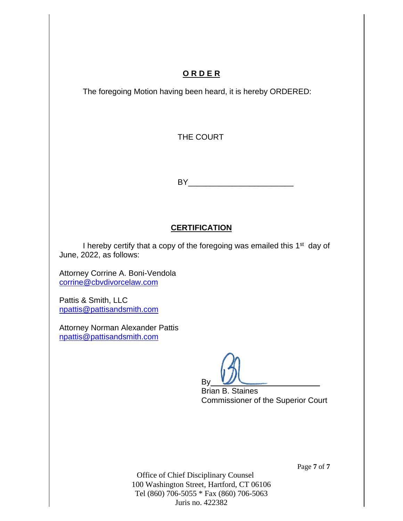#### **O R D E R**

The foregoing Motion having been heard, it is hereby ORDERED:

THE COURT

BY\_\_\_\_\_\_\_\_\_\_\_\_\_\_\_\_\_\_\_\_\_\_\_\_

#### **CERTIFICATION**

I hereby certify that a copy of the foregoing was emailed this 1<sup>st</sup> day of June, 2022, as follows:

Attorney Corrine A. Boni-Vendola [corrine@cbvdivorcelaw.com](mailto:corrine@cbvdivorcelaw.com)

Pattis & Smith, LLC [npattis@pattisandsmith.com](mailto:npattis@pattisandsmith.com)

Attorney Norman Alexander Pattis [npattis@pattisandsmith.com](mailto:npattis@pattisandsmith.com)

By

Brian B. Staines Commissioner of the Superior Court

Page **7** of **7**

Office of Chief Disciplinary Counsel 100 Washington Street, Hartford, CT 06106 Tel (860) 706-5055 \* Fax (860) 706-5063 Juris no. 422382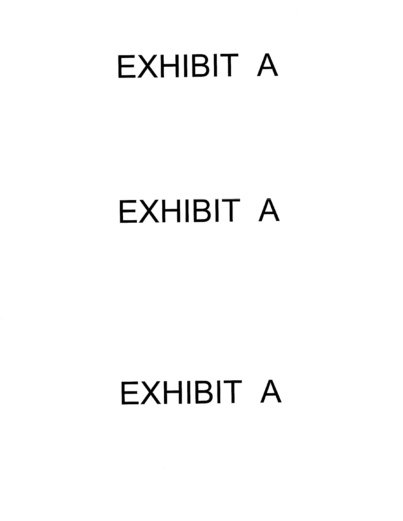### **EXHIBIT A**

## **EXHIBIT A**

# **EXHIBIT A**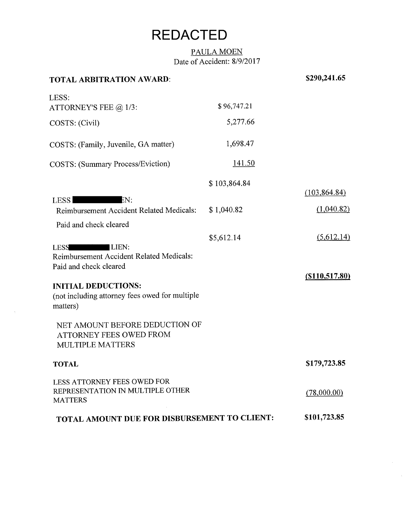### **REDACTED**

#### PAULA MOEN Date of Accident: 8/9/2017

| <b>TOTAL ARBITRATION AWARD:</b>                                                                                                                                                                                                                                                                                 |               | \$290,241.65                 |
|-----------------------------------------------------------------------------------------------------------------------------------------------------------------------------------------------------------------------------------------------------------------------------------------------------------------|---------------|------------------------------|
| LESS:<br>ATTORNEY'S FEE $@1/3$ :                                                                                                                                                                                                                                                                                | \$96,747.21   |                              |
| COSTS: (Civil)                                                                                                                                                                                                                                                                                                  | 5,277.66      |                              |
| COSTS: (Family, Juvenile, GA matter)                                                                                                                                                                                                                                                                            | 1,698.47      |                              |
| <b>COSTS:</b> (Summary Process/Eviction)                                                                                                                                                                                                                                                                        | <u>141.50</u> |                              |
|                                                                                                                                                                                                                                                                                                                 | \$103,864.84  | (103, 864.84)                |
| EN:<br><b>LESS</b><br>Reimbursement Accident Related Medicals:                                                                                                                                                                                                                                                  | \$1,040.82    | (1,040.82)                   |
| Paid and check cleared<br>LIEN:<br><b>LESS</b><br>Reimbursement Accident Related Medicals:<br>Paid and check cleared<br><b>INITIAL DEDUCTIONS:</b><br>(not including attorney fees owed for multiple<br>matters)<br>NET AMOUNT BEFORE DEDUCTION OF<br><b>ATTORNEY FEES OWED FROM</b><br><b>MULTIPLE MATTERS</b> | \$5,612.14    | (5,612.14)<br>(S110, 517.80) |
| <b>TOTAL</b>                                                                                                                                                                                                                                                                                                    |               | \$179,723.85                 |
| LESS ATTORNEY FEES OWED FOR<br>REPRESENTATION IN MULTIPLE OTHER<br><b>MATTERS</b>                                                                                                                                                                                                                               |               | (78,000.00)                  |
| TOTAL AMOUNT DUE FOR DISBURSEMENT TO CLIENT:                                                                                                                                                                                                                                                                    |               | \$101,723.85                 |

 $\sim$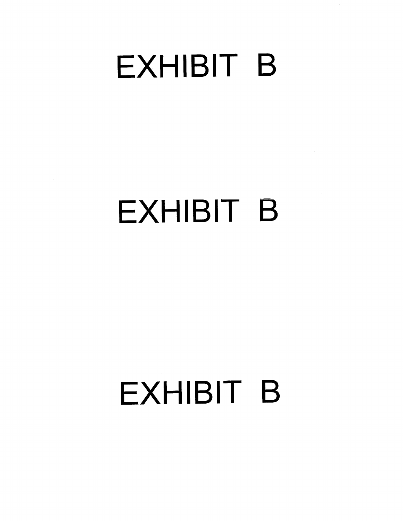## **EXHIBIT B**

 $\ddot{\phantom{a}}$ 

## **EXHIBIT B**

# **EXHIBIT B**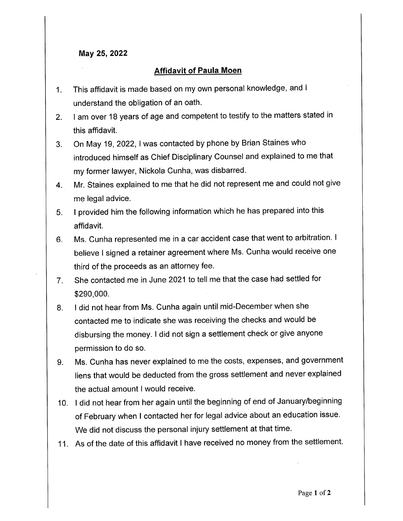#### May 25, 2022

#### **Affidavit of Paula Moen**

- This affidavit is made based on my own personal knowledge, and I  $1.$ understand the obligation of an oath.
- I am over 18 years of age and competent to testify to the matters stated in  $2<sub>1</sub>$ this affidavit.
- On May 19, 2022, I was contacted by phone by Brian Staines who  $3<sub>1</sub>$ introduced himself as Chief Disciplinary Counsel and explained to me that my former lawyer, Nickola Cunha, was disbarred.
- Mr. Staines explained to me that he did not represent me and could not give 4. me legal advice.
- I provided him the following information which he has prepared into this  $5<sub>1</sub>$ affidavit.
- Ms. Cunha represented me in a car accident case that went to arbitration. I  $6.$ believe I signed a retainer agreement where Ms. Cunha would receive one third of the proceeds as an attorney fee.
- She contacted me in June 2021 to tell me that the case had settled for  $7.$ \$290,000.
- I did not hear from Ms. Cunha again until mid-December when she 8. contacted me to indicate she was receiving the checks and would be disbursing the money. I did not sign a settlement check or give anyone permission to do so.
- Ms. Cunha has never explained to me the costs, expenses, and government 9. liens that would be deducted from the gross settlement and never explained the actual amount I would receive.
- 10. I did not hear from her again until the beginning of end of January/beginning of February when I contacted her for legal advice about an education issue. We did not discuss the personal injury settlement at that time.
- 11. As of the date of this affidavit I have received no money from the settlement.